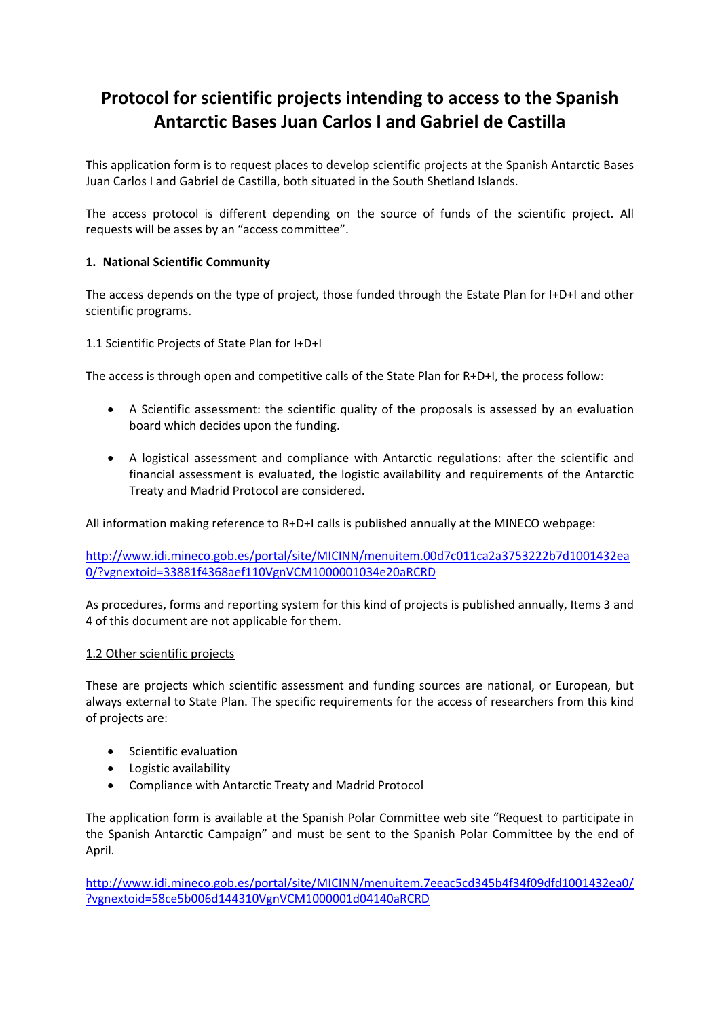# **Protocol for scientific projects intending to access to the Spanish Antarctic Bases Juan Carlos I and Gabriel de Castilla**

This application form is to request places to develop scientific projects at the Spanish Antarctic Bases Juan Carlos I and Gabriel de Castilla, both situated in the South Shetland Islands.

The access protocol is different depending on the source of funds of the scientific project. All requests will be asses by an "access committee".

# **1. National Scientific Community**

The access depends on the type of project, those funded through the Estate Plan for I+D+I and other scientific programs.

#### 1.1 Scientific Projects of State Plan for I+D+I

The access is through open and competitive calls of the State Plan for R+D+I, the process follow:

- A Scientific assessment: the scientific quality of the proposals is assessed by an evaluation board which decides upon the funding.
- A logistical assessment and compliance with Antarctic regulations: after the scientific and financial assessment is evaluated, the logistic availability and requirements of the Antarctic Treaty and Madrid Protocol are considered.

All information making reference to R+D+I calls is published annually at the MINECO webpage:

http://www.idi.mineco.gob.es/portal/site/MICINN/menuitem.00d7c011ca2a3753222b7d1001432ea 0/?vgnextoid=33881f4368aef110VgnVCM1000001034e20aRCRD

As procedures, forms and reporting system for this kind of projects is published annually, Items 3 and 4 of this document are not applicable for them.

#### 1.2 Other scientific projects

These are projects which scientific assessment and funding sources are national, or European, but always external to State Plan. The specific requirements for the access of researchers from this kind of projects are:

- Scientific evaluation
- Logistic availability
- Compliance with Antarctic Treaty and Madrid Protocol

The application form is available at the Spanish Polar Committee web site "Request to participate in the Spanish Antarctic Campaign" and must be sent to the Spanish Polar Committee by the end of April.

http://www.idi.mineco.gob.es/portal/site/MICINN/menuitem.7eeac5cd345b4f34f09dfd1001432ea0/ ?vgnextoid=58ce5b006d144310VgnVCM1000001d04140aRCRD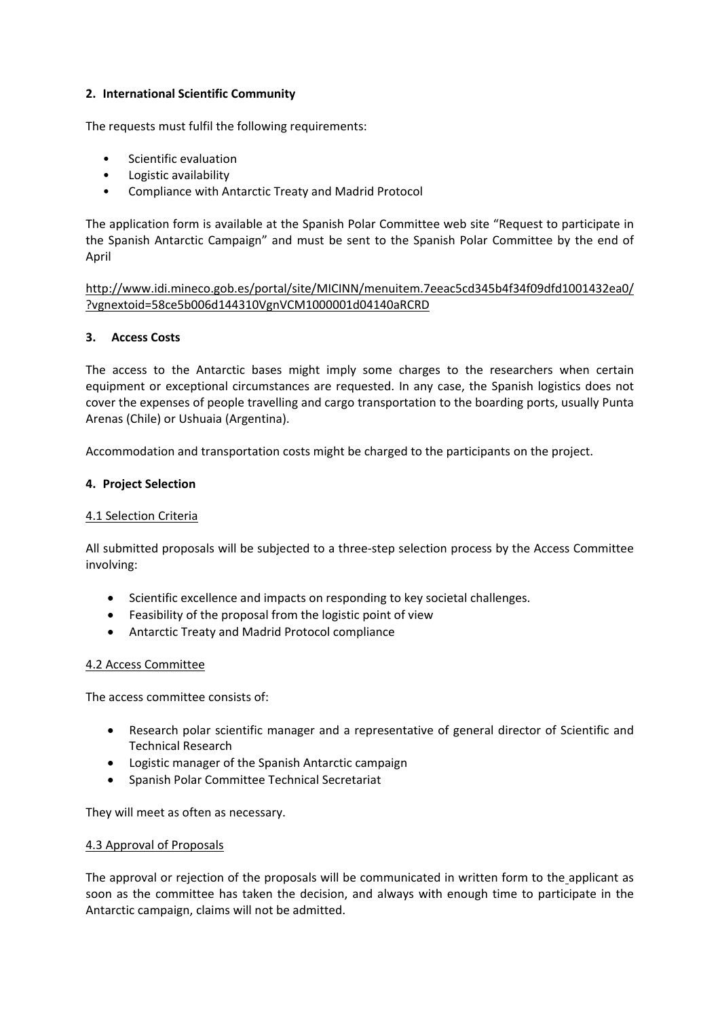# **2. International Scientific Community**

The requests must fulfil the following requirements:

- Scientific evaluation
- Logistic availability
- Compliance with Antarctic Treaty and Madrid Protocol

The application form is available at the Spanish Polar Committee web site "Request to participate in the Spanish Antarctic Campaign" and must be sent to the Spanish Polar Committee by the end of April

http://www.idi.mineco.gob.es/portal/site/MICINN/menuitem.7eeac5cd345b4f34f09dfd1001432ea0/ ?vgnextoid=58ce5b006d144310VgnVCM1000001d04140aRCRD

# **3. Access Costs**

The access to the Antarctic bases might imply some charges to the researchers when certain equipment or exceptional circumstances are requested. In any case, the Spanish logistics does not cover the expenses of people travelling and cargo transportation to the boarding ports, usually Punta Arenas (Chile) or Ushuaia (Argentina).

Accommodation and transportation costs might be charged to the participants on the project.

# **4. Project Selection**

#### 4.1 Selection Criteria

All submitted proposals will be subjected to a three‐step selection process by the Access Committee involving:

- Scientific excellence and impacts on responding to key societal challenges.
- Feasibility of the proposal from the logistic point of view
- Antarctic Treaty and Madrid Protocol compliance

#### 4.2 Access Committee

The access committee consists of:

- Research polar scientific manager and a representative of general director of Scientific and Technical Research
- Logistic manager of the Spanish Antarctic campaign
- Spanish Polar Committee Technical Secretariat

They will meet as often as necessary.

#### 4.3 Approval of Proposals

The approval or rejection of the proposals will be communicated in written form to the applicant as soon as the committee has taken the decision, and always with enough time to participate in the Antarctic campaign, claims will not be admitted.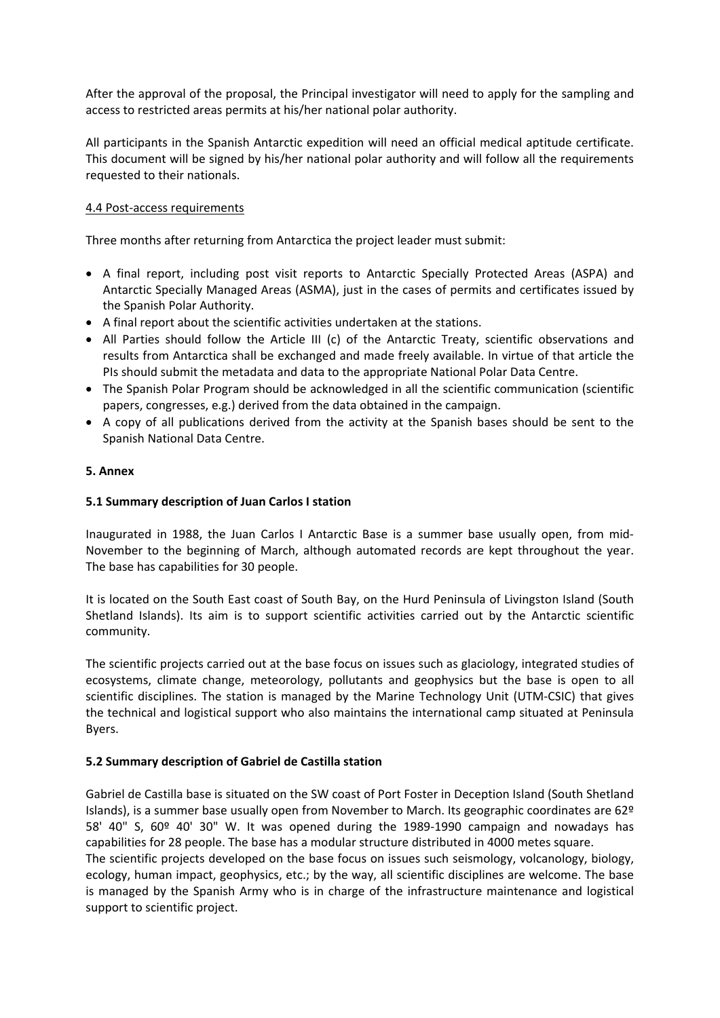After the approval of the proposal, the Principal investigator will need to apply for the sampling and access to restricted areas permits at his/her national polar authority.

All participants in the Spanish Antarctic expedition will need an official medical aptitude certificate. This document will be signed by his/her national polar authority and will follow all the requirements requested to their nationals.

# 4.4 Post‐access requirements

Three months after returning from Antarctica the project leader must submit:

- A final report, including post visit reports to Antarctic Specially Protected Areas (ASPA) and Antarctic Specially Managed Areas (ASMA), just in the cases of permits and certificates issued by the Spanish Polar Authority.
- A final report about the scientific activities undertaken at the stations.
- All Parties should follow the Article III (c) of the Antarctic Treaty, scientific observations and results from Antarctica shall be exchanged and made freely available. In virtue of that article the PIs should submit the metadata and data to the appropriate National Polar Data Centre.
- The Spanish Polar Program should be acknowledged in all the scientific communication (scientific papers, congresses, e.g.) derived from the data obtained in the campaign.
- A copy of all publications derived from the activity at the Spanish bases should be sent to the Spanish National Data Centre.

#### **5. Annex**

#### **5.1 Summary description of Juan Carlos I station**

Inaugurated in 1988, the Juan Carlos I Antarctic Base is a summer base usually open, from mid‐ November to the beginning of March, although automated records are kept throughout the year. The base has capabilities for 30 people.

It is located on the South East coast of South Bay, on the Hurd Peninsula of Livingston Island (South Shetland Islands). Its aim is to support scientific activities carried out by the Antarctic scientific community.

The scientific projects carried out at the base focus on issues such as glaciology, integrated studies of ecosystems, climate change, meteorology, pollutants and geophysics but the base is open to all scientific disciplines. The station is managed by the Marine Technology Unit (UTM‐CSIC) that gives the technical and logistical support who also maintains the international camp situated at Peninsula Byers.

#### **5.2 Summary description of Gabriel de Castilla station**

Gabriel de Castilla base is situated on the SW coast of Port Foster in Deception Island (South Shetland Islands), is a summer base usually open from November to March. Its geographic coordinates are 62º 58' 40" S, 60º 40' 30" W. It was opened during the 1989‐1990 campaign and nowadays has capabilities for 28 people. The base has a modular structure distributed in 4000 metes square.

The scientific projects developed on the base focus on issues such seismology, volcanology, biology, ecology, human impact, geophysics, etc.; by the way, all scientific disciplines are welcome. The base is managed by the Spanish Army who is in charge of the infrastructure maintenance and logistical support to scientific project.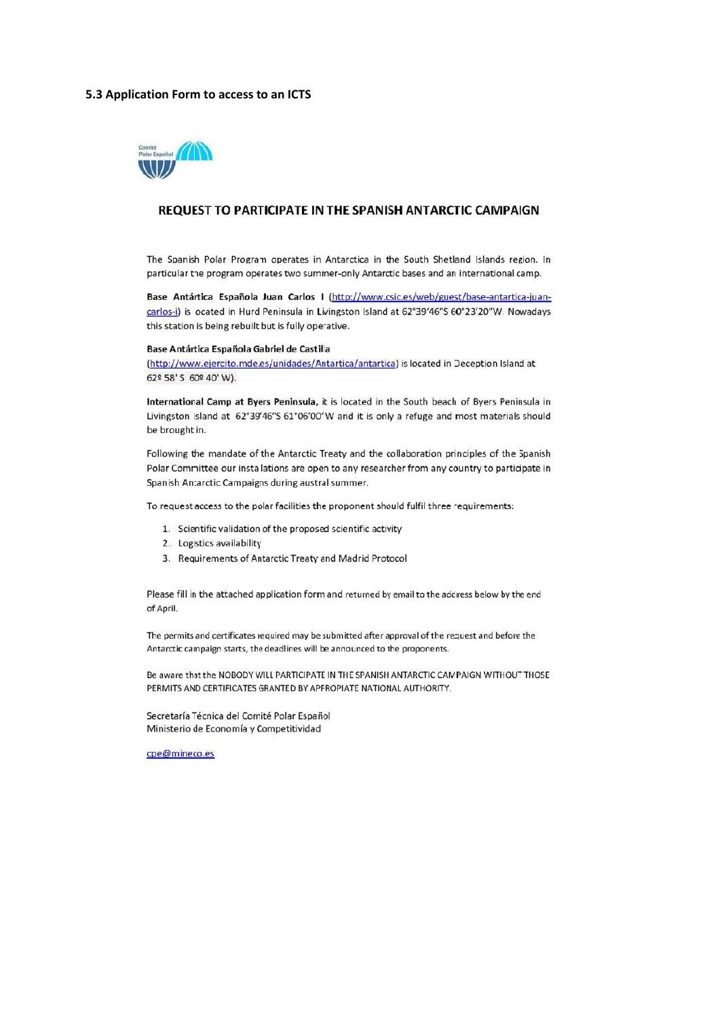#### 5.3 Application Form to access to an ICTS



#### REQUEST TO PARTICIPATE IN THE SPANISH ANTARCTIC CAMPAIGN

The Spanish Polar Program operates in Antarctica in the South Shetland Islands region. In particular the program operates two summer-only Antarctic bases and an international camp.

Base Antártica Española Juan Carlos I (http://www.csic.es/web/guest/base-antartica-juancarlos-i) is located in Hurd Peninsula in Livingston Island at 62°39'46"S 60°23'20"W. Nowadays this station is being rebuilt but is fully operative.

#### Base Antártica Española Gabriel de Castilla

(http://www.ejercito.mde.es/unidades/Antartica/antartica) is located in Deception Island at 62º 58' S 60º 40' W).

International Camp at Byers Peninsula, it is located in the South beach of Byers Peninsula in Livingston Island at 62°39'46"S 61°06'00"W and it is only a refuge and most materials should be brought in.

Following the mandate of the Antarctic Treaty and the collaboration principles of the Spanish Polar Committee our installations are open to any researcher from any country to participate in Spanish Antarctic Campaigns during austral summer.

To request access to the polar facilities the proponent should fulfil three requirements:

- 1. Scientific validation of the proposed scientific activity
- 2. Logistics availability
- 3. Requirements of Antarctic Treaty and Madrid Protocol

Please fill in the attached application form and returned by email to the address below by the end of April.

The permits and certificates required may be submitted after approval of the request and before the Antarctic campaign starts, the deadlines will be announced to the proponents.

Be aware that the NOBODY WILL PARTICIPATE IN THE SPANISH ANTARCTIC CAMPAIGN WITHOUT THOSE PERMITS AND CERTIFICATES GRANTED BY APPROPIATE NATIONAL AUTHORITY.

Secretaría Técnica del Comité Polar Español Ministerio de Economía y Competitividad

cpe@mineco.es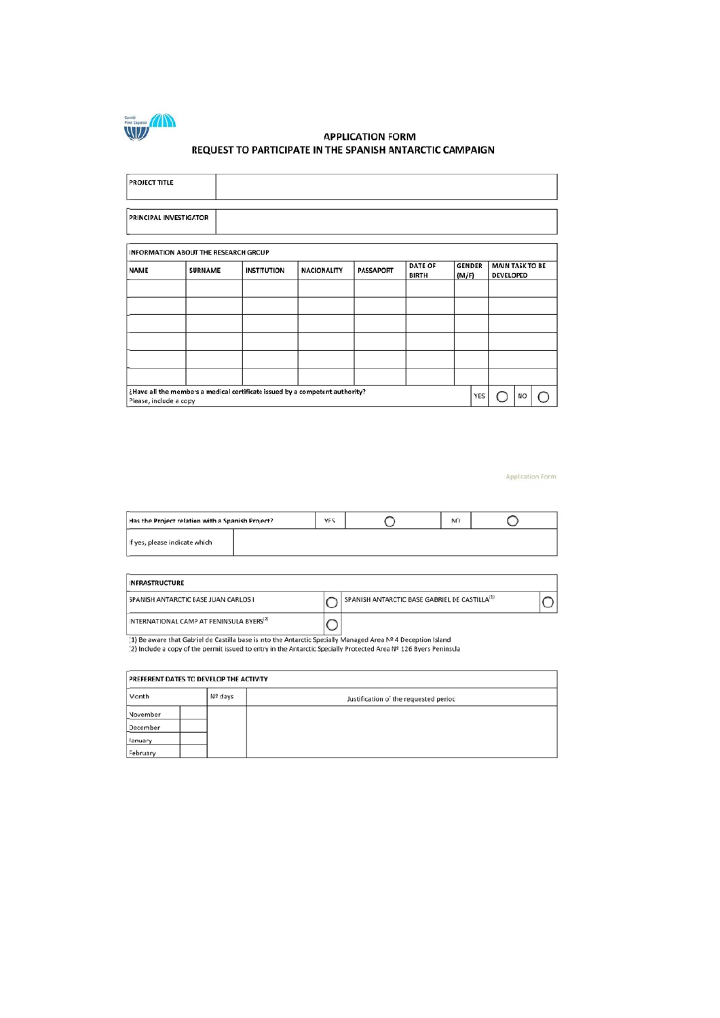

#### **APPLICATION FORM** REQUEST TO PARTICIPATE IN THE SPANISH ANTARCTIC CAMPAIGN

| PROJECT TITLE                               |  |                                                                              |                                        |  |                                |                        |                                            |
|---------------------------------------------|--|------------------------------------------------------------------------------|----------------------------------------|--|--------------------------------|------------------------|--------------------------------------------|
|                                             |  |                                                                              |                                        |  |                                |                        |                                            |
| PRINCIPAL INVESTIGATOR                      |  |                                                                              |                                        |  |                                |                        |                                            |
| <b>INFORMATION ABOUT THE RESEARCH GROUP</b> |  |                                                                              |                                        |  |                                |                        |                                            |
| <b>NAME</b><br><b>SURNAME</b>               |  | <b>INSTITUTION</b>                                                           | <b>PASSAPORT</b><br><b>NACIONALITY</b> |  | <b>DATE OF</b><br><b>BIRTH</b> | <b>GENDER</b><br>(M/F) | <b>MAIN TASK TO BE</b><br><b>DEVELOPED</b> |
|                                             |  |                                                                              |                                        |  |                                |                        |                                            |
|                                             |  |                                                                              |                                        |  |                                |                        |                                            |
|                                             |  |                                                                              |                                        |  |                                |                        |                                            |
|                                             |  |                                                                              |                                        |  |                                |                        |                                            |
|                                             |  |                                                                              |                                        |  |                                |                        |                                            |
|                                             |  |                                                                              |                                        |  |                                |                        |                                            |
| Please, include a copy                      |  | ¿Have all the members a medical certificate issued by a competent authority? |                                        |  |                                | YES                    | <b>NO</b>                                  |

**Application Form** 

| Has the Project relation with a Spanish Project? |  | YES | NO |  |
|--------------------------------------------------|--|-----|----|--|
| If yes, please indicate which                    |  |     |    |  |

| <b>INFRASTRUCTURE</b>                                |  |                                                           |  |  |  |  |  |  |
|------------------------------------------------------|--|-----------------------------------------------------------|--|--|--|--|--|--|
| SPANISH ANTARCTIC BASE JUAN CARLOS I                 |  | SPANISH ANTARCTIC BASE GABRIEL DE CASTILLA <sup>(1)</sup> |  |  |  |  |  |  |
| INTERNATIONAL CAMP AT PENINSULA BYERS <sup>(2)</sup> |  |                                                           |  |  |  |  |  |  |

Lawylong and a December 2014 of the Antarctic Specially Managed Area Nº 4 Deception Island<br>(2) Include a copy of the permit issued to entry in the Antarctic Specially Protected Area Nº 126 Byers Peninsula

|          | PREFERENT DATES TO DEVELOP THE ACTIVITY |         |                                       |  |  |  |  |  |  |  |
|----------|-----------------------------------------|---------|---------------------------------------|--|--|--|--|--|--|--|
| Month    |                                         | Nº days | Justification of the requested period |  |  |  |  |  |  |  |
| November |                                         |         |                                       |  |  |  |  |  |  |  |
| December |                                         |         |                                       |  |  |  |  |  |  |  |
| January  |                                         |         |                                       |  |  |  |  |  |  |  |
| February |                                         |         |                                       |  |  |  |  |  |  |  |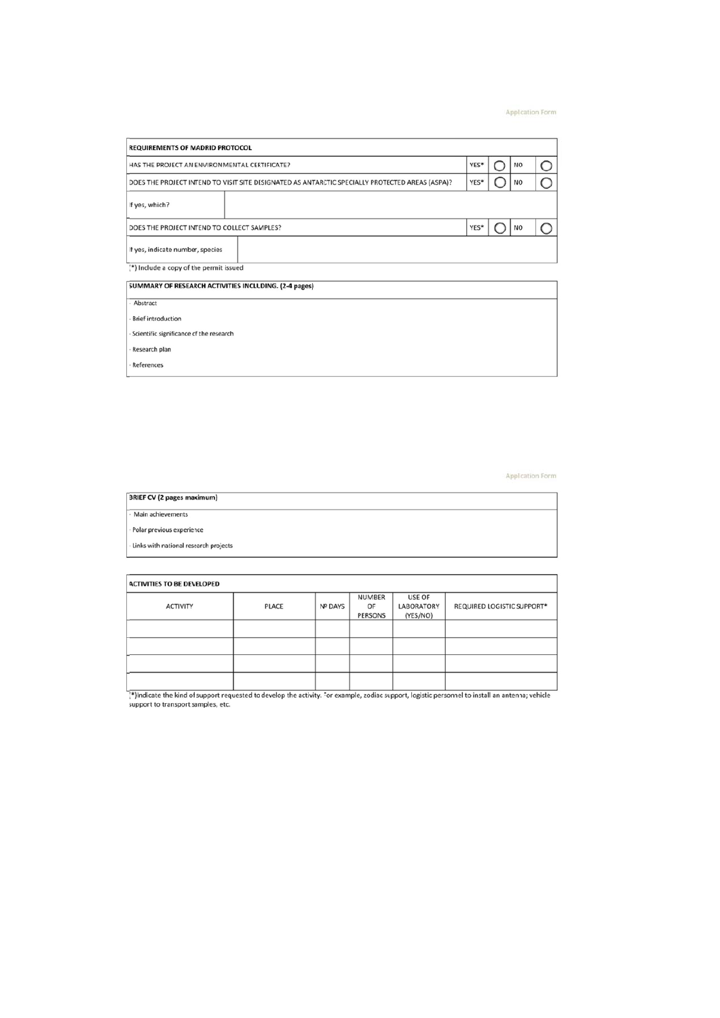#### **Application Form**

| <b>REQUIREMENTS OF MADRID PROTOCOL</b>                                                          |      |  |                |  |  |  |  |  |
|-------------------------------------------------------------------------------------------------|------|--|----------------|--|--|--|--|--|
| YES*<br><b>NO</b><br>HAS THE PROJECT AN ENVIRONMENTAL CERTIFICATE?                              |      |  |                |  |  |  |  |  |
| DOES THE PROJECT INTEND TO VISIT SITE DESIGNATED AS ANTARCTIC SPECIALLY PROTECTED AREAS (ASPA)? | YES* |  | <b>NO</b>      |  |  |  |  |  |
| If yes, which?                                                                                  |      |  |                |  |  |  |  |  |
| DOES THE PROJECT INTEND TO COLLECT SAMPLES?                                                     | YES* |  | N <sub>O</sub> |  |  |  |  |  |
| If yes, indicate number, species                                                                |      |  |                |  |  |  |  |  |

(\*) Include a copy of the permit issued

| SUMMARY OF RESEARCH ACTIVITIES INCLUDING. (2-4 pages) |  |
|-------------------------------------------------------|--|
|                                                       |  |

- Abstract

 $\cdot$  Brief introduction

· Scientific significance of the research

- Research plan

- References

Application Form

| <b>BRIEF CV (2 pages maximum)</b>     |
|---------------------------------------|
| Main achievements                     |
| · Polar previous experience           |
| Links with national research projects |

| <b>ACTIVITIES TO BE DEVELOPED</b> |       |                |                         |                                         |                            |
|-----------------------------------|-------|----------------|-------------------------|-----------------------------------------|----------------------------|
| <b>ACTIVITY</b>                   | PLACE | <b>Nº DAYS</b> | NUMBER<br>OF<br>PERSONS | USE OF<br><b>LABORATORY</b><br>(YES/NO) | REQUIRED LOGISTIC SUPPORT* |
|                                   |       |                |                         |                                         |                            |
|                                   |       |                |                         |                                         |                            |
|                                   |       |                |                         |                                         |                            |
|                                   |       |                |                         |                                         |                            |